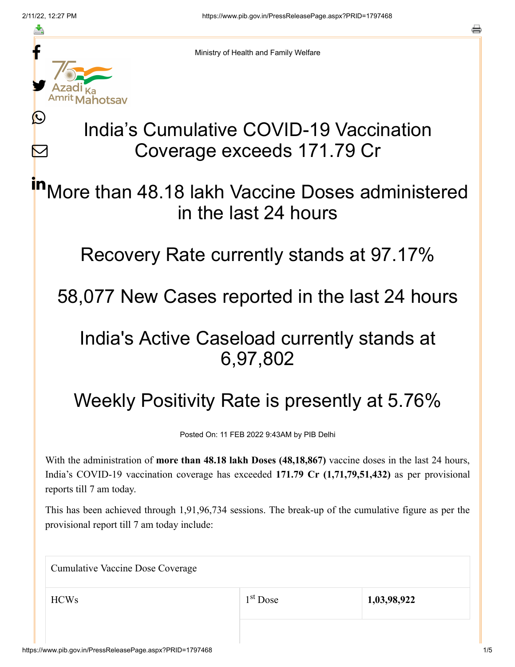≛

Ŀ

 $\bm{\nabla}$ 



Ministry of Health and Family Welfare

## India's Cumulative COVID-19 Vaccination Coverage exceeds 171.79 Cr

More than 48.18 lakh Vaccine Doses administered in the last 24 hours in

Recovery Rate currently stands at 97.17%

58,077 New Cases reported in the last 24 hours

## India's Active Caseload currently stands at 6,97,802

## Weekly Positivity Rate is presently at 5.76%

Posted On: 11 FEB 2022 9:43AM by PIB Delhi

With the administration of **more than 48.18 lakh Doses (48,18,867)** vaccine doses in the last 24 hours, India's COVID-19 vaccination coverage has exceeded **171.79 Cr (1,71,79,51,432)** as per provisional reports till 7 am today.

This has been achieved through 1,91,96,734 sessions. The break-up of the cumulative figure as per the provisional report till 7 am today include:

| <b>Cumulative Vaccine Dose Coverage</b> |                      |             |
|-----------------------------------------|----------------------|-------------|
| <b>HCWs</b>                             | 1 <sup>st</sup> Dose | 1,03,98,922 |
|                                         |                      |             |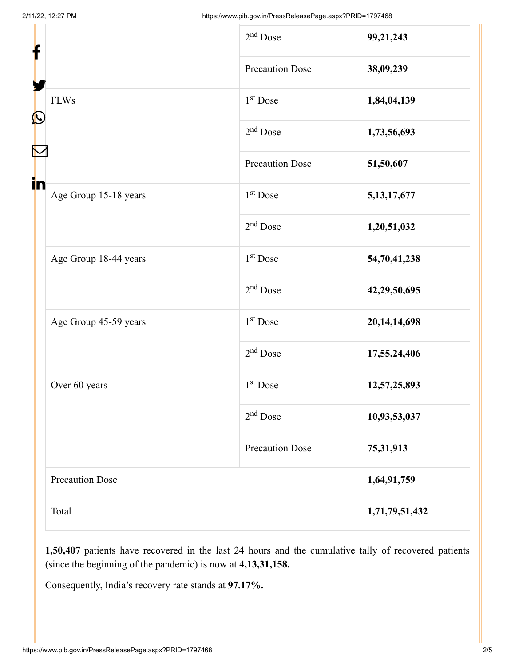| f                                      | $2nd$ Dose             | 99,21,243       |
|----------------------------------------|------------------------|-----------------|
|                                        | <b>Precaution Dose</b> | 38,09,239       |
| <b>FLWs</b><br>$\mathbf{\Omega}$<br>in | 1 <sup>st</sup> Dose   | 1,84,04,139     |
|                                        | $2nd$ Dose             | 1,73,56,693     |
|                                        | <b>Precaution Dose</b> | 51,50,607       |
| Age Group 15-18 years                  | 1 <sup>st</sup> Dose   | 5, 13, 17, 677  |
|                                        | $2nd$ Dose             | 1,20,51,032     |
| Age Group 18-44 years                  | 1 <sup>st</sup> Dose   | 54,70,41,238    |
|                                        | $2nd$ Dose             | 42,29,50,695    |
| Age Group 45-59 years                  | 1 <sup>st</sup> Dose   | 20, 14, 14, 698 |
|                                        | 2 <sup>nd</sup> Dose   | 17,55,24,406    |
| Over 60 years                          | 1 <sup>st</sup> Dose   | 12,57,25,893    |
|                                        | $2nd$ Dose             | 10,93,53,037    |
|                                        | <b>Precaution Dose</b> | 75,31,913       |
| <b>Precaution Dose</b>                 |                        | 1,64,91,759     |
| Total                                  |                        | 1,71,79,51,432  |

**1,50,407** patients have recovered in the last 24 hours and the cumulative tally of recovered patients (since the beginning of the pandemic) is now at **4,13,31,158.**

Consequently, India's recovery rate stands at **97.17%.**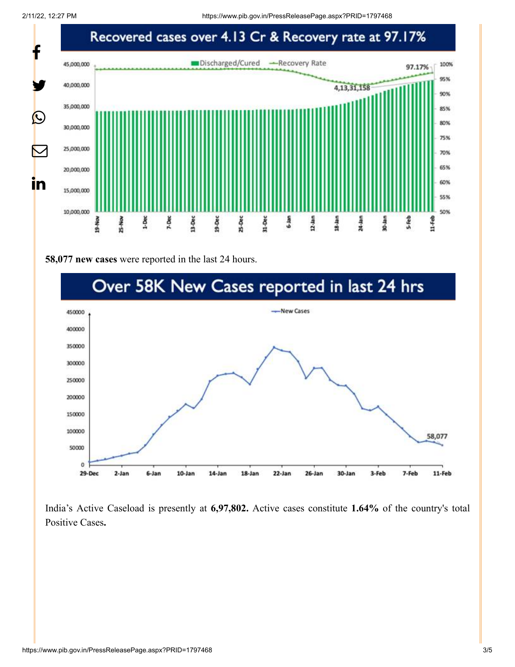2/11/22, 12:27 PM https://www.pib.gov.in/PressReleasePage.aspx?PRID=1797468



**58,077 new cases** were reported in the last 24 hours.



India's Active Caseload is presently at **6,97,802.** Active cases constitute **1.64%** of the country's total Positive Cases**.**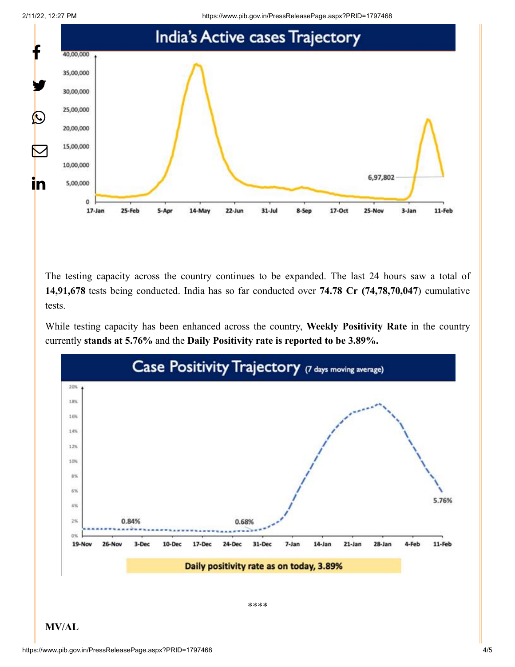



The testing capacity across the country continues to be expanded. The last 24 hours saw a total of **14,91,678** tests being conducted. India has so far conducted over **74.78 Cr (74,78,70,047**) cumulative tests.

While testing capacity has been enhanced across the country, **Weekly Positivity Rate** in the country currently **stands at 5.76%** and the **Daily Positivity rate is reported to be 3.89%.**